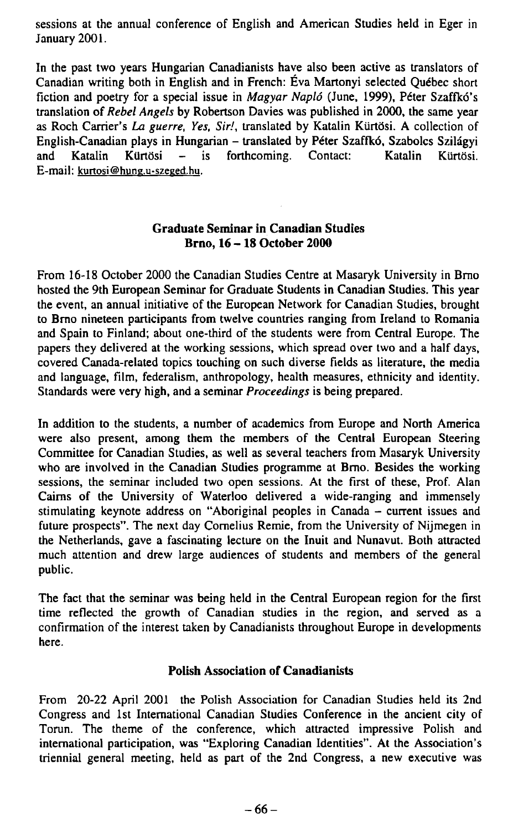sessions at the annual conference of English and American Studies held in Eger in January 2001.

In the past two years Hungarian Canadianists have also been active as translators of Canadian writing both in English and in French: Éva Martonyi selected Québec short fiction and poetry for a speciál issue in *Magyar Napló* (June, 1999), Peter Szaffkó's translation of *Rebel Angels* by Robertson Davies was published in 2000, the same year as Roch Carrieťs *La guerre, Yes, Sir.',* translated by Katalin Kurtósi. A collection of English-Canadian plays in Hungarian - translated by Peter Szaffkó, Szabolcs Szilágyi and Katalin Klirtósi - is forthcoming. Contact: Katalin Kurtósi. E-mail: kurtosi@hung,u-szeged.hu.

## **Graduate Seminar in Canadian Studies Brno, 16 - 18 October 2000**

From 16-18 October 2000 the Canadian Studies Centre at Masaryk University in Brno hosted the 9th European Seminar for Graduate Students in Canadian Studies. This year the event, an annual initiative of the European Network for Canadian Studies, brought to Brno nineteen participants from twelve countries ranging from Ireland to Romania and Spain to Finland; about one-third of the students were from Central Europe. The papers they delivered at the working sessions, which spread over two and a half days, covered Canada-related topics touching on such diverse fields as literature, the media and language, film, federalism, anthropology, health measures, ethnicity and identity. Standards were very high, and a seminá *Proceedings* is being prepared.

In addition to the students, a number of academics from Europe and North America were also present, among them the members of the Central European Steering Committee for Canadian Studies, as well as several teachers from Masaryk University who are involved in the Canadian Studies programme at Brno. Besides the working sessions, the seminar included two open sessions. At the first of these, Prof. Alan Caims of the University of Waterloo delivered a wide-ranging and immensely stimulating keynote address on "Aboriginal peoples in Canada - current issues and future prospects". The next day Comelius Remie, from the University of Nijmegen in the Netherlands, gave a fascinating lecture on the Inuit and Nunavut. Both attracted much attention and drew large audiences of students and members of the general public.

The fact that the seminar was being held in the Central European region for the first time reflected the growth of Canadian studies in the region, and served as a confirmation of the interest taken by Canadianists throughout Europe in developments here.

## **Polish Association of Canadianists**

From 20-22 April 2001 the Polish Association for Canadian Studies held its 2nd Congress and lst International Canadian Studies Conference in the ancient city of Torun. The theme of the conference, which attracted impressive Polish and intemational participation, was "Exploring Canadian Identities". At the Association's triennial generál meeting, held as part of the 2nd Congress, a new executive was